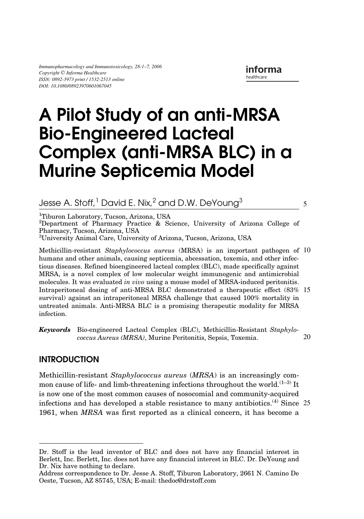*Immunopharmacology and Immunotoxicology, 28:1–7, 2006 Copyright* © *Informa Healthcare ISSN: 0892-3973 print / 1532-2513 online DOI: 10.1080/08923970601067045*

5

# LIPI 0892-3973 1532-2513Immunopharmacology and Immunotoxicology, Vol. 28, No. 4, November 2006: pp. 1–14 Immunotoxicology **A Pilot Study of an anti-MRSA Bio-Engineered Lacteal Complex (anti-MRSA BLC) in a Murine Septicemia Model**

Jesse A. Stoff,  $^{\text{1}}$  David E. Nix,  $^{\text{2}}$  and D.W. DeYoung $^{\text{3}}$ 

<sup>1</sup>Tiburon Laboratory, Tucson, Arizona, USA

2 Department of Pharmacy Practice & Science, University of Arizona College of Pharmacy, Tucson, Arizona, USA

3 University Animal Care, University of Arizona, Tucson, Arizona, USA

Methicillin-resistant *Staphylococcus aureus* (MRSA) is an important pathogen of 10 humans and other animals, causing septicemia, abcessation, toxemia, and other infectious diseases. Refined bioengineered lacteal complex (BLC), made specifically against MRSA, is a novel complex of low molecular weight immunogenic and antimicrobial molecules. It was evaluated *in vivo* using a mouse model of MRSA-induced peritonitis. Intraperitoneal dosing of anti-MRSA BLC demonstrated a therapeutic effect (83% 15 survival) against an intraperitoneal MRSA challenge that caused 100% mortality in untreated animals. Anti-MRSA BLC is a promising therapeutic modality for MRSA infection.

*Keywords* Bio-engineered Lacteal Complex (BLC), Methicillin-Resistant *Staphylococcus Aureus (MRSA)*, Murine Peritonitis, Sepsis, Toxemia. 20

# **INTRODUCTION**

Methicillin-resistant *Staphylococcus aureus* (*MRSA*) is an increasingly common cause of life- and limb-threatening infections throughout the world.<sup> $(1-3)$ </sup> It is now one of the most common causes of nosocomial and community-acquired infections and has developed a stable resistance to many antibiotics.<sup>(4)</sup> Since 25 1961, when *MRSA* was first reported as a clinical concern, it has become a

Dr. Stoff is the lead inventor of BLC and does not have any financial interest in Berlett, Inc. Berlett, Inc. does not have any financial interest in BLC. Dr. DeYoung and Dr. Nix have nothing to declare.

Address correspondence to Dr. Jesse A. Stoff, Tiburon Laboratory, 2661 N. Camino De Oeste, Tucson, AZ 85745, USA; E-mail: thedoc@drstoff.com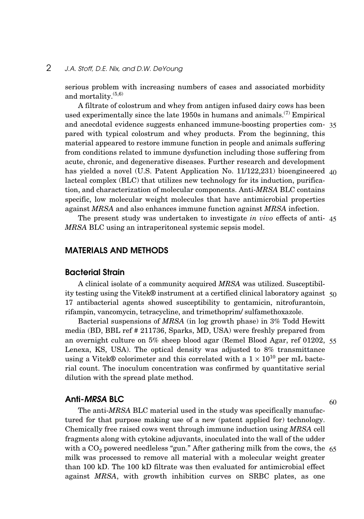## 2 *J.A. Stoff, D.E. Nix, and D.W. DeYoung*

serious problem with increasing numbers of cases and associated morbidity and mortality. $(5,6)$ 

A filtrate of colostrum and whey from antigen infused dairy cows has been used experimentally since the late 1950s in humans and animals.(7) Empirical and anecdotal evidence suggests enhanced immune-boosting properties com-35 pared with typical colostrum and whey products. From the beginning, this material appeared to restore immune function in people and animals suffering from conditions related to immune dysfunction including those suffering from acute, chronic, and degenerative diseases. Further research and development has yielded a novel (U.S. Patent Application No. 11/122,231) bioengineered 40 lacteal complex (BLC) that utilizes new technology for its induction, purification, and characterization of molecular components. Anti-*MRSA* BLC contains specific, low molecular weight molecules that have antimicrobial properties against *MRSA* and also enhances immune function against *MRSA* infection.

The present study was undertaken to investigate *in vivo* effects of anti-45 *MRSA* BLC using an intraperitoneal systemic sepsis model.

## **MATERIALS AND METHODS**

#### **Bacterial Strain**

A clinical isolate of a community acquired *MRSA* was utilized. Susceptibility testing using the Vitek® instrument at a certified clinical laboratory against 50 17 antibacterial agents showed susceptibility to gentamicin, nitrofurantoin, rifampin, vancomycin, tetracycline, and trimethoprim/ sulfamethoxazole.

Bacterial suspensions of *MRSA* (in log growth phase) in 3% Todd Hewitt media (BD, BBL ref # 211736, Sparks, MD, USA) were freshly prepared from an overnight culture on 5% sheep blood agar (Remel Blood Agar, ref 01202, 55 Lenexa, KS, USA). The optical density was adjusted to 8% transmittance using a Vitek® colorimeter and this correlated with a  $1 \times 10^{10}$  per mL bacterial count. The inoculum concentration was confirmed by quantitative serial dilution with the spread plate method.

#### **Anti-***MRSA* **BLC**

The anti-*MRSA* BLC material used in the study was specifically manufactured for that purpose making use of a new (patent applied for) technology. Chemically free raised cows went through immune induction using *MRSA* cell fragments along with cytokine adjuvants, inoculated into the wall of the udder with a  $\mathrm{CO}_2$  powered needleless "gun." After gathering milk from the cows, the  $~65$ milk was processed to remove all material with a molecular weight greater than 100 kD. The 100 kD filtrate was then evaluated for antimicrobial effect against *MRSA*, with growth inhibition curves on SRBC plates, as one

60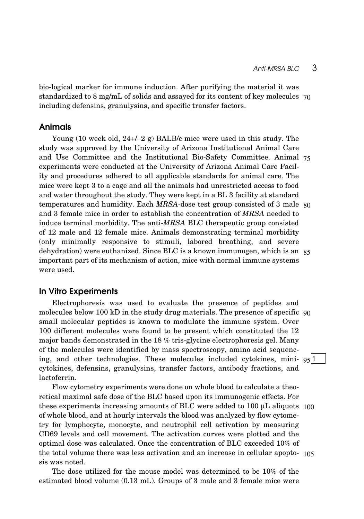bio-logical marker for immune induction. After purifying the material it was standardized to 8 mg/mL of solids and assayed for its content of key molecules 70 including defensins, granulysins, and specific transfer factors.

#### **Animals**

Young (10 week old, 24+/−2 g) BALB/c mice were used in this study. The study was approved by the University of Arizona Institutional Animal Care and Use Committee and the Institutional Bio-Safety Committee. Animal 75 experiments were conducted at the University of Arizona Animal Care Facility and procedures adhered to all applicable standards for animal care. The mice were kept 3 to a cage and all the animals had unrestricted access to food and water throughout the study. They were kept in a BL 3 facility at standard temperatures and humidity. Each *MRSA*-dose test group consisted of 3 male 80 and 3 female mice in order to establish the concentration of *MRSA* needed to induce terminal morbidity. The anti-*MRSA* BLC therapeutic group consisted of 12 male and 12 female mice. Animals demonstrating terminal morbidity (only minimally responsive to stimuli, labored breathing, and severe dehydration) were euthanized. Since BLC is a known immunogen, which is an 85 important part of its mechanism of action, mice with normal immune systems were used.

#### **In Vitro Experiments**

Electrophoresis was used to evaluate the presence of peptides and molecules below 100 kD in the study drug materials. The presence of specific 90 small molecular peptides is known to modulate the immune system. Over 100 different molecules were found to be present which constituted the 12 major bands demonstrated in the 18 % tris-glycine electrophoresis gel. Many of the molecules were identified by mass spectroscopy, amino acid sequencing, and other technologies. These molecules included cytokines, mini- $95\vert1$ cytokines, defensins, granulysins, transfer factors, antibody fractions, and lactoferrin.

Flow cytometry experiments were done on whole blood to calculate a theoretical maximal safe dose of the BLC based upon its immunogenic effects. For these experiments increasing amounts of BLC were added to 100 μL aliquots 100 of whole blood, and at hourly intervals the blood was analyzed by flow cytometry for lymphocyte, monocyte, and neutrophil cell activation by measuring CD69 levels and cell movement. The activation curves were plotted and the optimal dose was calculated. Once the concentration of BLC exceeded 10% of the total volume there was less activation and an increase in cellular apopto-105sis was noted.

The dose utilized for the mouse model was determined to be 10% of the estimated blood volume (0.13 mL). Groups of 3 male and 3 female mice were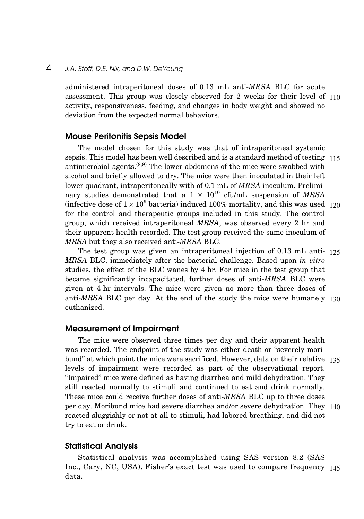## 4 *J.A. Stoff, D.E. Nix, and D.W. DeYoung*

administered intraperitoneal doses of 0.13 mL anti-*MRSA* BLC for acute assessment. This group was closely observed for 2 weeks for their level of 110 activity, responsiveness, feeding, and changes in body weight and showed no deviation from the expected normal behaviors.

#### **Mouse Peritonitis Sepsis Model**

The model chosen for this study was that of intraperitoneal systemic sepsis. This model has been well described and is a standard method of testing 115 antimicrobial agents. $(8,9)$  The lower abdomens of the mice were swabbed with alcohol and briefly allowed to dry. The mice were then inoculated in their left lower quadrant, intraperitoneally with of 0.1 mL of *MRSA* inoculum. Preliminary studies demonstrated that a  $1 \times 10^{10}$  cfu/mL suspension of *MRSA* (infective dose of  $1 \times 10^9$  bacteria) induced 100% mortality, and this was used 120 for the control and therapeutic groups included in this study. The control group, which received intraperitoneal *MRSA*, was observed every 2 hr and their apparent health recorded. The test group received the same inoculum of *MRSA* but they also received anti-*MRSA* BLC.

The test group was given an intraperitoneal injection of 0.13 mL anti-125 *MRSA* BLC, immediately after the bacterial challenge. Based upon *in vitro* studies, the effect of the BLC wanes by 4 hr. For mice in the test group that became significantly incapacitated, further doses of anti-*MRSA* BLC were given at 4-hr intervals. The mice were given no more than three doses of anti-*MRSA* BLC per day. At the end of the study the mice were humanely 130 euthanized.

#### **Measurement of Impairment**

The mice were observed three times per day and their apparent health was recorded. The endpoint of the study was either death or "severely moribund" at which point the mice were sacrificed. However, data on their relative 135 levels of impairment were recorded as part of the observational report. "Impaired" mice were defined as having diarrhea and mild dehydration. They still reacted normally to stimuli and continued to eat and drink normally. These mice could receive further doses of anti-*MRSA* BLC up to three doses per day. Moribund mice had severe diarrhea and/or severe dehydration. They 140 reacted sluggishly or not at all to stimuli, had labored breathing, and did not try to eat or drink.

#### **Statistical Analysis**

Statistical analysis was accomplished using SAS version 8.2 (SAS Inc., Cary, NC, USA). Fisher's exact test was used to compare frequency 145data.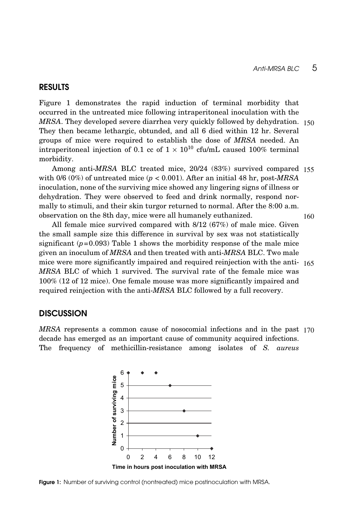## **RESULTS**

Figure 1 demonstrates the rapid induction of terminal morbidity that occurred in the untreated mice following intraperitoneal inoculation with the *MRSA*. They developed severe diarrhea very quickly followed by dehydration. 150 They then became lethargic, obtunded, and all 6 died within 12 hr. Several groups of mice were required to establish the dose of *MRSA* needed. An intraperitoneal injection of 0.1 cc of  $1 \times 10^{10}$  cfu/mL caused 100% terminal morbidity.

Among anti-*MRSA* BLC treated mice, 20/24 (83%) survived compared 155 with  $0/6$  ( $0\%$ ) of untreated mice ( $p < 0.001$ ). After an initial 48 hr, post-*MRSA* inoculation, none of the surviving mice showed any lingering signs of illness or dehydration. They were observed to feed and drink normally, respond normally to stimuli, and their skin turgor returned to normal. After the 8:00 a.m. observation on the 8th day, mice were all humanely euthanized. 160

All female mice survived compared with 8/12 (67%) of male mice. Given the small sample size this difference in survival by sex was not statistically significant  $(p=0.093)$  Table 1 shows the morbidity response of the male mice given an inoculum of *MRSA* and then treated with anti-*MRSA* BLC. Two male mice were more significantly impaired and required reinjection with the anti-165 *MRSA* BLC of which 1 survived. The survival rate of the female mice was 100% (12 of 12 mice). One female mouse was more significantly impaired and required reinjection with the anti-*MRSA* BLC followed by a full recovery.

## **DISCUSSION**

*MRSA* represents a common cause of nosocomial infections and in the past 170decade has emerged as an important cause of community acquired infections. The frequency of methicillin-resistance among isolates of *S. aureus*



**Figure 1:** Number of surviving control (nontreated) mice postinoculation with MRSA.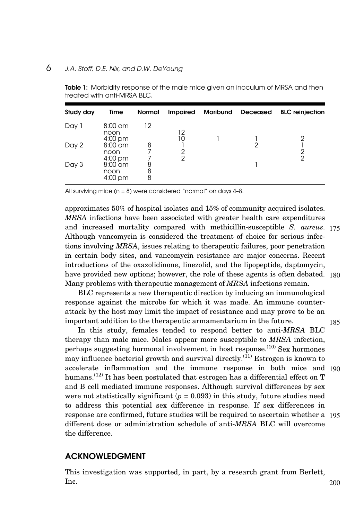## 6 *J.A. Stoff, D.E. Nix, and D.W. DeYoung*

| Study day | Time                           | <b>Normal</b> | <b>Impaired</b> | <b>Moribund</b> | <b>Deceased</b> | <b>BLC</b> reinjection |
|-----------|--------------------------------|---------------|-----------------|-----------------|-----------------|------------------------|
| Day 1     | $8:00$ am<br>noon<br>4:00 pm   | 12            | 12              |                 |                 | 2                      |
| Day 2     | $8:00$ am<br>noon<br>$4:00$ pm | 8             | 2<br>2          |                 | ≘               | 2<br>$\overline{2}$    |
| Day 3     | $8:00$ am<br>noon<br>4:00 pm   | 8<br>8<br>8   |                 |                 |                 |                        |

**Table 1:** Morbidity response of the male mice given an inoculum of MRSA and then treated with anti-MRSA BLC.

All surviving mice (n = 8) were considered "normal" on days 4–8.

approximates 50% of hospital isolates and 15% of community acquired isolates. *MRSA* infections have been associated with greater health care expenditures and increased mortality compared with methicillin-susceptible *S. aureus*. 175 Although vancomycin is considered the treatment of choice for serious infections involving *MRSA*, issues relating to therapeutic failures, poor penetration in certain body sites, and vancomycin resistance are major concerns. Recent introductions of the oxazolidinone, linezolid, and the lipopeptide, daptomycin, have provided new options; however, the role of these agents is often debated. 180 Many problems with therapeutic management of *MRSA* infections remain.

BLC represents a new therapeutic direction by inducing an immunological response against the microbe for which it was made. An immune counterattack by the host may limit the impact of resistance and may prove to be an important addition to the therapeutic armamentarium in the future.

185

In this study, females tended to respond better to anti-*MRSA* BLC therapy than male mice. Males appear more susceptible to *MRSA* infection, perhaps suggesting hormonal involvement in host response. $(10)$  Sex hormones may influence bacterial growth and survival directly.<sup>(11)</sup> Estrogen is known to accelerate inflammation and the immune response in both mice and 190 humans.<sup>(12)</sup> It has been postulated that estrogen has a differential effect on T and B cell mediated immune responses. Although survival differences by sex were not statistically significant  $(p = 0.093)$  in this study, future studies need to address this potential sex difference in response. If sex differences in response are confirmed, future studies will be required to ascertain whether a 195 different dose or administration schedule of anti-*MRSA* BLC will overcome the difference.

## **ACKNOWLEDGMENT**

This investigation was supported, in part, by a research grant from Berlett, Inc. 200